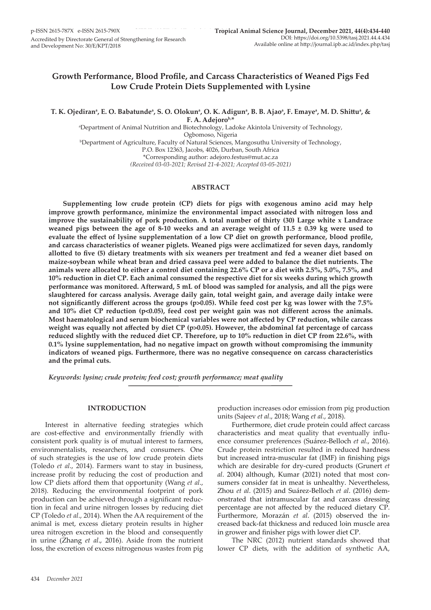# **Growth Performance, Blood Profile, and Carcass Characteristics of Weaned Pigs Fed Low Crude Protein Diets Supplemented with Lysine**

T. K. Ojediran<sup>a</sup>, E. O. Babatunde<sup>a</sup>, S. O. Olokun<sup>a</sup>, O. K. Adigun<sup>a</sup>, B. B. Ajao<sup>a</sup>, F. Emaye<sup>a</sup>, M. D. Shittu<sup>a</sup>, & **F. A. Adejorob,\***

a Department of Animal Nutrition and Biotechnology, Ladoke Akintola University of Technology, Ogbomoso, Nigeria b Department of Agriculture, Faculty of Natural Sciences, Mangosuthu University of Technology, P.O. Box 12363, Jacobs, 4026, Durban, South Africa

\*Corresponding author: adejoro.festus@mut.ac.za

*(Received 03-03-2021; Revised 21-4-2021; Accepted 03-05-2021)*

# **ABSTRACT**

**Supplementing low crude protein (CP) diets for pigs with exogenous amino acid may help improve growth performance, minimize the environmental impact associated with nitrogen loss and improve the sustainability of pork production. A total number of thirty (30) Large white x Landrace weaned pigs between the age of 8-10 weeks and an average weight of 11.5 ± 0.39 kg were used to evaluate the effect of lysine supplementation of a low CP diet on growth performance, blood profile, and carcass characteristics of weaner piglets. Weaned pigs were acclimatized for seven days, randomly allotted to five (5) dietary treatments with six weaners per treatment and fed a weaner diet based on maize-soybean while wheat bran and dried cassava peel were added to balance the diet nutrients. The animals were allocated to either a control diet containing 22.6% CP or a diet with 2.5%, 5.0%, 7.5%, and 10% reduction in diet CP. Each animal consumed the respective diet for six weeks during which growth performance was monitored. Afterward, 5 mL of blood was sampled for analysis, and all the pigs were slaughtered for carcass analysis. Average daily gain, total weight gain, and average daily intake were not significantly different across the groups (p>0.05). While feed cost per kg was lower with the 7.5% and 10% diet CP reduction (p<0.05), feed cost per weight gain was not different across the animals. Most haematological and serum biochemical variables were not affected by CP reduction, while carcass weight was equally not affected by diet CP (p>0.05). However, the abdominal fat percentage of carcass reduced slightly with the reduced diet CP. Therefore, up to 10% reduction in diet CP from 22.6%, with 0.1% lysine supplementation, had no negative impact on growth without compromising the immunity indicators of weaned pigs. Furthermore, there was no negative consequence on carcass characteristics and the primal cuts.**

*Keywords: lysine; crude protein; feed cost; growth performance; meat quality*

#### **INTRODUCTION**

Interest in alternative feeding strategies which are cost-effective and environmentally friendly with consistent pork quality is of mutual interest to farmers, environmentalists, researchers, and consumers. One of such strategies is the use of low crude protein diets (Toledo *et al*., 2014). Farmers want to stay in business, increase profit by reducing the cost of production and low CP diets afford them that opportunity (Wang *et al*., 2018). Reducing the environmental footprint of pork production can be achieved through a significant reduction in fecal and urine nitrogen losses by reducing diet CP (Toledo *et al*., 2014). When the AA requirement of the animal is met, excess dietary protein results in higher urea nitrogen excretion in the blood and consequently in urine (Zhang *et al*., 2016). Aside from the nutrient loss, the excretion of excess nitrogenous wastes from pig production increases odor emission from pig production units (Sajeev *et al*., 2018; Wang *et al.*, 2018).

Furthermore, diet crude protein could affect carcass characteristics and meat quality that eventually influence consumer preferences (Suárez-Belloch *et al*., 2016). Crude protein restriction resulted in reduced hardness but increased intra-muscular fat (IMF) in finishing pigs which are desirable for dry-cured products (Grunert *et al*. 2004) although, Kumar (2021) noted that most consumers consider fat in meat is unhealthy. Nevertheless, Zhou *et al*. (2015) and Suárez-Belloch *et al*. (2016) demonstrated that intramuscular fat and carcass dressing percentage are not affected by the reduced dietary CP. Furthermore, Morazán *et al*. (2015) observed the increased back-fat thickness and reduced loin muscle area in grower and finisher pigs with lower diet CP.

The NRC (2012) nutrient standards showed that lower CP diets, with the addition of synthetic AA,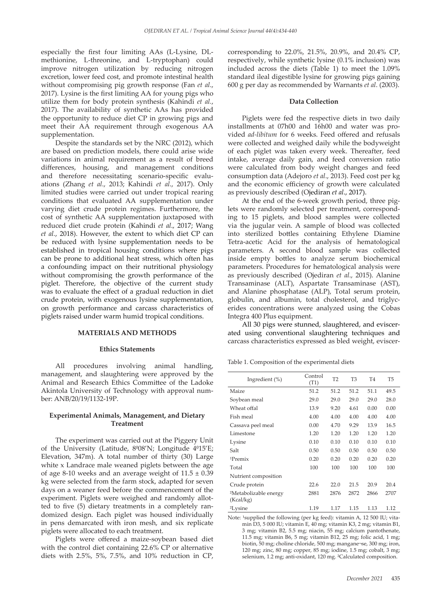especially the first four limiting AAs (L-Lysine, DLmethionine, L-threonine, and L-tryptophan) could improve nitrogen utilization by reducing nitrogen excretion, lower feed cost, and promote intestinal health without compromising pig growth response (Fan *et al*., 2017). Lysine is the first limiting AA for young pigs who utilize them for body protein synthesis (Kahindi *et al.*, 2017). The availability of synthetic AAs has provided the opportunity to reduce diet CP in growing pigs and meet their AA requirement through exogenous AA supplementation.

Despite the standards set by the NRC (2012), which are based on prediction models, there could arise wide variations in animal requirement as a result of breed differences, housing, and management conditions and therefore necessitating scenario-specific evaluations (Zhang *et al*., 2013; Kahindi *et al*., 2017). Only limited studies were carried out under tropical rearing conditions that evaluated AA supplementation under varying diet crude protein regimes. Furthermore, the cost of synthetic AA supplementation juxtaposed with reduced diet crude protein (Kahindi *et al*., 2017; Wang *et al.*, 2018). However, the extent to which diet CP can be reduced with lysine supplementation needs to be established in tropical housing conditions where pigs can be prone to additional heat stress, which often has a confounding impact on their nutritional physiology without compromising the growth performance of the piglet. Therefore, the objective of the current study was to evaluate the effect of a gradual reduction in diet crude protein, with exogenous lysine supplementation, on growth performance and carcass characteristics of piglets raised under warm humid tropical conditions.

#### **MATERIALS AND METHODS**

#### **Ethics Statements**

All procedures involving animal handling, management, and slaughtering were approved by the Animal and Research Ethics Committee of the Ladoke Akintola University of Technology with approval number: ANB/20/19/1132-19P.

#### **Experimental Animals, Management, and Dietary Treatment**

The experiment was carried out at the Piggery Unit of the University (Latitude, 8<sup>0</sup>08'N; Longitude 4<sup>0</sup>15'E; Elevation, 347m). A total number of thirty (30) Large white x Landrace male weaned piglets between the age of age 8-10 weeks and an average weight of  $11.5 \pm 0.39$ kg were selected from the farm stock, adapted for seven days on a weaner feed before the commencement of the experiment. Piglets were weighed and randomly allotted to five (5) dietary treatments in a completely randomized design. Each piglet was housed individually in pens demarcated with iron mesh, and six replicate piglets were allocated to each treatment.

Piglets were offered a maize-soybean based diet with the control diet containing 22.6% CP or alternative diets with 2.5%, 5%, 7.5%, and 10% reduction in CP, corresponding to 22.0%, 21.5%, 20.9%, and 20.4% CP, respectively, while synthetic lysine (0.1% inclusion) was included across the diets (Table 1) to meet the 1.09% standard ileal digestible lysine for growing pigs gaining 600 g per day as recommended by Warnants *et al*. (2003).

#### **Data Collection**

Piglets were fed the respective diets in two daily installments at 07h00 and 16h00 and water was provided *ad-libitum* for 6 weeks. Feed offered and refusals were collected and weighed daily while the bodyweight of each piglet was taken every week. Thereafter, feed intake, average daily gain, and feed conversion ratio were calculated from body weight changes and feed consumption data (Adejoro *et al*., 2013). Feed cost per kg and the economic efficiency of growth were calculated as previously described (Ojediran *et al*., 2017).

At the end of the 6-week growth period, three piglets were randomly selected per treatment, corresponding to 15 piglets, and blood samples were collected via the jugular vein. A sample of blood was collected into sterilized bottles containing Ethylene Diamine Tetra-acetic Acid for the analysis of hematological parameters. A second blood sample was collected inside empty bottles to analyze serum biochemical parameters. Procedures for hematological analysis were as previously described (Ojediran *et al*., 2015). Alanine Transaminase (ALT), Aspartate Transaminase (AST), and Alanine phosphatase (ALP), Total serum protein, globulin, and albumin, total cholesterol, and triglycerides concentrations were analyzed using the Cobas Integra 400 Plus equipment.

All 30 pigs were stunned, slaughtered, and eviscerated using conventional slaughtering techniques and carcass characteristics expressed as bled weight, eviscer-

Table 1. Composition of the experimental diets

| Ingredient $(\%)$                              | Control<br>(T1) | T <sub>2</sub> | T <sub>3</sub> | T <sub>4</sub> | T <sub>5</sub> |
|------------------------------------------------|-----------------|----------------|----------------|----------------|----------------|
| Maize                                          | 51.2            | 51.2           | 51.2           | 51.1           | 49.5           |
| Soybean meal                                   | 29.0            | 29.0           | 29.0           | 29.0           | 28.0           |
| Wheat offal                                    | 13.9            | 9.20           | 4.61           | 0.00           | 0.00           |
| Fish meal                                      | 4.00            | 4.00           | 4.00           | 4.00           | 4.00           |
| Cassava peel meal                              | 0.00            | 4.70           | 9.29           | 13.9           | 16.5           |
| Limestone                                      | 1.20            | 1.20           | 1.20           | 1.20           | 1.20           |
| Lysine                                         | 0.10            | 0.10           | 0.10           | 0.10           | 0.10           |
| Salt                                           | 0.50            | 0.50           | 0.50           | 0.50           | 0.50           |
| $1$ Premix                                     | 0.20            | 0.20           | 0.20           | 0.20           | 0.20           |
| Total                                          | 100             | 100            | 100            | 100            | 100            |
| Nutrient composition                           |                 |                |                |                |                |
| Crude protein                                  | 22.6            | 22.0           | 21.5           | 20.9           | 20.4           |
| <sup>2</sup> Metabolizable energy<br>(Kcal/kg) | 2881            | 2876           | 2872           | 2866           | 2707           |
| <sup>2</sup> Lysine                            | 1.19            | 1.17           | 1.15           | 1.13           | 1.12           |

Note: <sup>1</sup>supplied the following (per kg feed): vitamin A, 12 500 IU; vitamin D3, 5 000 IU; vitamin E, 40 mg; vitamin K3, 2 mg; vitamin B1, 3 mg; vitamin B2, 5.5 mg; niacin, 55 mg; calcium pantothenate, 11.5 mg; vitamin B6, 5 mg; vitamin B12, 25 mg; folic acid, 1 mg; biotin, 50 mg; choline chloride, 500 mg; mangane¬se, 300 mg; iron, 120 mg; zinc, 80 mg; copper, 85 mg; iodine, 1.5 mg; cobalt, 3 mg; selenium, 1.2 mg; anti-oxidant, 120 mg. ²Calculated composition.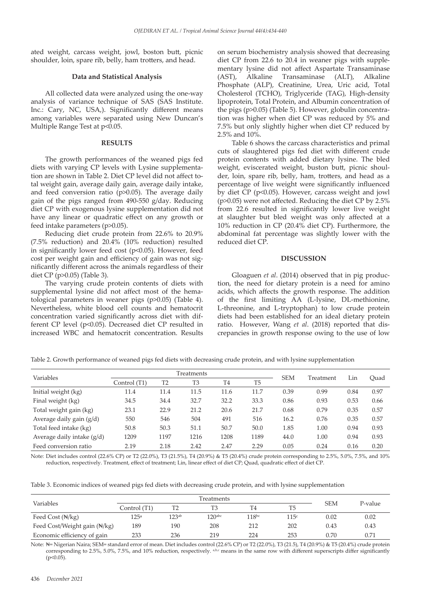ated weight, carcass weight, jowl, boston butt, picnic shoulder, loin, spare rib, belly, ham trotters, and head.

#### **Data and Statistical Analysis**

All collected data were analyzed using the one-way analysis of variance technique of SAS (SAS Institute. Inc.: Cary, NC, USA,). Significantly different means among variables were separated using New Duncan's Multiple Range Test at p<0.05.

#### **RESULTS**

The growth performances of the weaned pigs fed diets with varying CP levels with Lysine supplementation are shown in Table 2. Diet CP level did not affect total weight gain, average daily gain, average daily intake, and feed conversion ratio (p>0.05). The average daily gain of the pigs ranged from 490-550 g/day. Reducing diet CP with exogenous lysine supplementation did not have any linear or quadratic effect on any growth or feed intake parameters (p>0.05).

Reducing diet crude protein from 22.6% to 20.9% (7.5% reduction) and 20.4% (10% reduction) resulted in significantly lower feed cost (p<0.05). However, feed cost per weight gain and efficiency of gain was not significantly different across the animals regardless of their diet CP (p>0.05) (Table 3).

The varying crude protein contents of diets with supplemental lysine did not affect most of the hematological parameters in weaner pigs (p>0.05) (Table 4). Nevertheless, white blood cell counts and hematocrit concentration varied significantly across diet with different CP level (p<0.05). Decreased diet CP resulted in increased WBC and hematocrit concentration. Results

on serum biochemistry analysis showed that decreasing diet CP from 22.6 to 20.4 in weaner pigs with supplementary lysine did not affect Aspartate Transaminase<br>(AST), Alkaline Transaminase (ALT), Alkaline (AST), Alkaline Transaminase Phosphate (ALP), Creatinine, Urea, Uric acid, Total Cholesterol (TCHO), Triglyceride (TAG), High-density lipoprotein, Total Protein, and Albumin concentration of the pigs (p>0.05) (Table 5). However, globulin concentration was higher when diet CP was reduced by 5% and 7.5% but only slightly higher when diet CP reduced by 2.5% and 10%.

Table 6 shows the carcass characteristics and primal cuts of slaughtered pigs fed diet with different crude protein contents with added dietary lysine. The bled weight, eviscerated weight, buston butt, picnic shoulder, loin, spare rib, belly, ham, trotters, and head as a percentage of live weight were significantly influenced by diet CP (p<0.05). However, carcass weight and jowl (p>0.05) were not affected. Reducing the diet CP by 2.5% from 22.6 resulted in significantly lower live weight at slaughter but bled weight was only affected at a 10% reduction in CP (20.4% diet CP). Furthermore, the abdominal fat percentage was slightly lower with the reduced diet CP.

### **DISCUSSION**

Gloaguen *et al*. (2014) observed that in pig production, the need for dietary protein is a need for amino acids, which affects the growth response. The addition of the first limiting AA (L-lysine, DL-methionine, L-threonine, and L-tryptophan) to low crude protein diets had been established for an ideal dietary protein ratio. However, Wang *et al*. (2018) reported that discrepancies in growth response owing to the use of low

| Table 2. Growth performance of weaned pigs fed diets with decreasing crude protein, and with lysine supplementation |  |  |  |
|---------------------------------------------------------------------------------------------------------------------|--|--|--|
|                                                                                                                     |  |  |  |

|                              | Treatments   |      |                |                |                |            |           |      |      |
|------------------------------|--------------|------|----------------|----------------|----------------|------------|-----------|------|------|
| Variables                    | Control (T1) | T2   | T <sub>3</sub> | T <sub>4</sub> | T <sub>5</sub> | <b>SEM</b> | Treatment | Lin  | Ouad |
| Initial weight (kg)          | 11.4         | 11.4 | 11.5           | 11.6           | 11.7           | 0.39       | 0.99      | 0.84 | 0.97 |
| Final weight (kg)            | 34.5         | 34.4 | 32.7           | 32.2           | 33.3           | 0.86       | 0.93      | 0.53 | 0.66 |
| Total weight gain (kg)       | 23.1         | 22.9 | 21.2           | 20.6           | 21.7           | 0.68       | 0.79      | 0.35 | 0.57 |
| Average daily gain (g/d)     | 550          | 546  | 504            | 491            | 516            | 16.2       | 0.76      | 0.35 | 0.57 |
| Total feed intake (kg)       | 50.8         | 50.3 | 51.1           | 50.7           | 50.0           | 1.85       | 1.00      | 0.94 | 0.93 |
| Average daily intake $(g/d)$ | 1209         | 1197 | 1216           | 1208           | 1189           | 44.0       | 1.00      | 0.94 | 0.93 |
| Feed conversion ratio        | 2.19         | 2.18 | 2.42           | 2.47           | 2.29           | 0.05       | 0.24      | 0.16 | 0.20 |

Note: Diet includes control (22.6% CP) or T2 (22.0%), T3 (21.5%), T4 (20.9%) & T5 (20.4%) crude protein corresponding to 2.5%, 5.0%, 7.5%, and 10% reduction, respectively. Treatment, effect of treatment; Lin, linear effect of diet CP; Quad, quadratic effect of diet CP.

|  |  |  | Table 3. Economic indices of weaned pigs fed diets with decreasing crude protein, and with lysine supplementation |
|--|--|--|-------------------------------------------------------------------------------------------------------------------|
|--|--|--|-------------------------------------------------------------------------------------------------------------------|

| Variables                    | Control (T1)     | T <sub>2</sub> | T <sub>3</sub>     | T4                | T <sub>5</sub> | <b>SEM</b> | P-value |
|------------------------------|------------------|----------------|--------------------|-------------------|----------------|------------|---------|
| Feed Cost $(\sqrt[k]{kg})$   | 125 <sup>a</sup> | $123^{ab}$     | 120 <sub>abc</sub> | 118 <sup>bc</sup> | 115c           | 0.02       | 0.02    |
| Feed Cost/Weight gain (N/kg) | 189              | 190            | 208                | 212               | 202            | 0.43       | 0.43    |
| Economic efficiency of gain  | 233              | 236            | 219                | 224               | 253            | 0.70       | 0.71    |

Note:  $\mathbb{N}$ = Nigerian Naira; SEM= standard error of mean. Diet includes control (22.6% CP) or T2 (22.0%), T3 (21.5), T4 (20.9%) & T5 (20.4%) crude protein corresponding to 2.5%, 5.0%, 7.5%, and 10% reduction, respectively.  $a_{bc}$  means in the same row with different superscripts differ significantly  $(p<0.05)$ .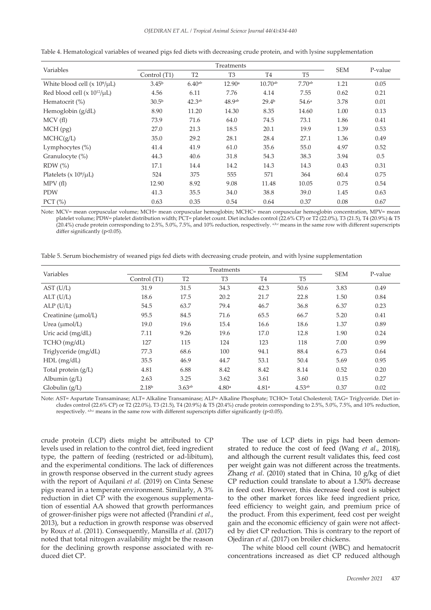|                                    |                   | Treatments         |                |                       |                    |            |         |  |
|------------------------------------|-------------------|--------------------|----------------|-----------------------|--------------------|------------|---------|--|
| Variables                          | Control (T1)      | T <sub>2</sub>     | T <sub>3</sub> | T <sub>4</sub>        | T <sub>5</sub>     | <b>SEM</b> | P-value |  |
| White blood cell $(x 10^9/\mu L)$  | 3.45 <sup>b</sup> | 6.40 <sup>ab</sup> | 12.90a         | $10.70$ <sup>ab</sup> | 7.70 <sup>ab</sup> | 1.21       | 0.05    |  |
| Red blood cell $(x 10^{12}/\mu L)$ | 4.56              | 6.11               | 7.76           | 4.14                  | 7.55               | 0.62       | 0.21    |  |
| Hematocrit $(\%)$                  | 30.5 <sup>b</sup> | 42.3 <sup>ab</sup> | 48.9ab         | 29.4 <sup>b</sup>     | 54.6 <sup>a</sup>  | 3.78       | 0.01    |  |
| Hemoglobin (g/dL)                  | 8.90              | 11.20              | 14.30          | 8.35                  | 14.60              | 1.00       | 0.13    |  |
| MCV(f)                             | 73.9              | 71.6               | 64.0           | 74.5                  | 73.1               | 1.86       | 0.41    |  |
| $MCH$ (pg)                         | 27.0              | 21.3               | 18.5           | 20.1                  | 19.9               | 1.39       | 0.53    |  |
| MCHC(g/L)                          | 35.0              | 29.2               | 28.1           | 28.4                  | 27.1               | 1.36       | 0.49    |  |
| Lymphocytes $(\%)$                 | 41.4              | 41.9               | 61.0           | 35.6                  | 55.0               | 4.97       | 0.52    |  |
| Granulocyte (%)                    | 44.3              | 40.6               | 31.8           | 54.3                  | 38.3               | 3.94       | 0.5     |  |
| $RDW$ $%$                          | 17.1              | 14.4               | 14.2           | 14.3                  | 14.3               | 0.43       | 0.31    |  |
| Platelets ( $x 10^9/\mu L$ )       | 524               | 375                | 555            | 571                   | 364                | 60.4       | 0.75    |  |
| MPV(f)                             | 12.90             | 8.92               | 9.08           | 11.48                 | 10.05              | 0.75       | 0.54    |  |
| PDW                                | 41.3              | 35.5               | 34.0           | 38.8                  | 39.0               | 1.45       | 0.63    |  |
| PCT $(\% )$                        | 0.63              | 0.35               | 0.54           | 0.64                  | 0.37               | 0.08       | 0.67    |  |

Table 4. Hematological variables of weaned pigs fed diets with decreasing crude protein, and with lysine supplementation

Note: MCV= mean corpuscular volume; MCH= mean corpuscular hemoglobin; MCHC= mean corpuscular hemoglobin concentration, MPV= mean platelet volume; PDW= platelet distribution width; PCT= platelet count. Diet includes control (22.6% CP) or T2 (22.0%), T3 (21.5), T4 (20.9%) & T5 (20.4%) crude protein corresponding to 2.5%, 5.0%, 7.5%, and 10% reduction, respectively. a,b,c means in the same row with different superscripts differ significantly (p<0.05).

Table 5. Serum biochemistry of weaned pigs fed diets with decreasing crude protein, and with lysine supplementation

| Variables             | Treatments        |                    |                   |                |                    |            | P-value |
|-----------------------|-------------------|--------------------|-------------------|----------------|--------------------|------------|---------|
|                       | Control (T1)      | T <sub>2</sub>     | T <sub>3</sub>    | T <sub>4</sub> | T <sub>5</sub>     | <b>SEM</b> |         |
| AST (U/L)             | 31.9              | 31.5               | 34.3              | 42.3           | 50.6               | 3.83       | 0.49    |
| ALT (U/L)             | 18.6              | 17.5               | 20.2              | 21.7           | 22.8               | 1.50       | 0.84    |
| ALP(U/L)              | 54.5              | 63.7               | 79.4              | 46.7           | 36.8               | 6.37       | 0.23    |
| Creatinine (µmol/L)   | 95.5              | 84.5               | 71.6              | 65.5           | 66.7               | 5.20       | 0.41    |
| Urea $(\mu mol/L)$    | 19.0              | 19.6               | 15.4              | 16.6           | 18.6               | 1.37       | 0.89    |
| Uric acid $(mg/dL)$   | 7.11              | 9.26               | 19.6              | 17.0           | 12.8               | 1.90       | 0.24    |
| TCHO (mg/dL)          | 127               | 115                | 124               | 123            | 118                | 7.00       | 0.99    |
| Triglyceride (mg/dL)  | 77.3              | 68.6               | 100               | 94.1           | 88.4               | 6.73       | 0.64    |
| $HDL$ (mg/dL)         | 35.5              | 46.9               | 44.7              | 53.1           | 50.4               | 5.69       | 0.95    |
| Total protein $(g/L)$ | 4.81              | 6.88               | 8.42              | 8.42           | 8.14               | 0.52       | 0.20    |
| Albumin $(g/L)$       | 2.63              | 3.25               | 3.62              | 3.61           | 3.60               | 0.15       | 0.27    |
| Globulin $(g/L)$      | 2.18 <sup>b</sup> | 3.63 <sup>ab</sup> | 4.80 <sup>a</sup> | 4.81a          | 4.53 <sup>ab</sup> | 0.37       | 0.02    |

Note: AST= Aspartate Transaminase; ALT= Alkaline Transaminase; ALP= Alkaline Phosphate; TCHO= Total Cholesterol; TAG= Triglyceride. Diet includes control (22.6% CP) or T2 (22.0%), T3 (21.5), T4 (20.9%) & T5 (20.4%) crude protein corresponding to 2.5%, 5.0%, 7.5%, and 10% reduction, respectively. a,b,c means in the same row with different superscripts differ significantly ( $p$ <0.05).

crude protein (LCP) diets might be attributed to CP levels used in relation to the control diet, feed ingredient type, the pattern of feeding (restricted or ad-libitum), and the experimental conditions. The lack of differences in growth response observed in the current study agrees with the report of Aquilani *et al.* (2019) on Cinta Senese pigs reared in a temperate environment. Similarly, A 3% reduction in diet CP with the exogenous supplementation of essential AA showed that growth performances of grower-finisher pigs were not affected (Prandini *et al*., 2013), but a reduction in growth response was observed by Roux *et al*. (2011). Consequently, Mansilla *et al*. (2017) noted that total nitrogen availability might be the reason for the declining growth response associated with reduced diet CP.

The use of LCP diets in pigs had been demonstrated to reduce the cost of feed (Wang *et al*., 2018), and although the current result validates this, feed cost per weight gain was not different across the treatments. Zhang *et al*. (2010) stated that in China, 10 g/kg of diet CP reduction could translate to about a 1.50% decrease in feed cost. However, this decrease feed cost is subject to the other market forces like feed ingredient price, feed efficiency to weight gain, and premium price of the product. From this experiment, feed cost per weight gain and the economic efficiency of gain were not affected by diet CP reduction. This is contrary to the report of Ojediran *et al*. (2017) on broiler chickens.

The white blood cell count (WBC) and hematocrit concentrations increased as diet CP reduced although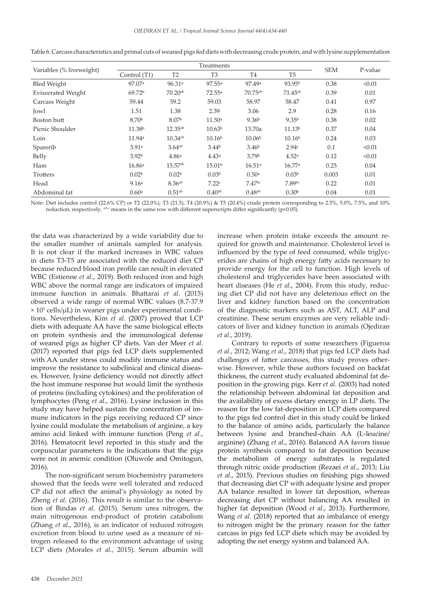| Variables (% liveweight)  |                    | <b>SEM</b>           | P-value            |                      |                    |       |        |
|---------------------------|--------------------|----------------------|--------------------|----------------------|--------------------|-------|--------|
|                           | Control (T1)       | T <sub>2</sub>       | T <sub>3</sub>     | T <sub>4</sub>       | T <sub>5</sub>     |       |        |
| <b>Bled Weight</b>        | 97.07 <sup>a</sup> | 96.31a               | 97.55a             | 97.49 <sup>a</sup>   | 93.95 <sup>b</sup> | 0.38  | < 0.01 |
| <b>Eviscerated Weight</b> | 69.72 <sup>b</sup> | $70.20^{ab}$         | 72.55a             | $70.75^{ab}$         | $71.45^{ab}$       | 0.39  | 0.01   |
| Carcass Weight            | 59.44              | 59.2                 | 59.03              | 58.97                | 58.47              | 0.41  | 0.97   |
| Jowl                      | 1.51               | 1.38                 | 2.39               | 3.06                 | 2.9                | 0.28  | 0.16   |
| Boston butt               | 8.70 <sup>b</sup>  | 8.07 <sup>b</sup>    | 11.50a             | 9.36 <sup>b</sup>    | 9.35 <sup>b</sup>  | 0.38  | 0.02   |
| Picnic Shoulder           | 11.38 <sup>b</sup> | $12.35^{ab}$         | 10.63 <sup>b</sup> | 13.70a               | 11.13 <sup>b</sup> | 0.37  | 0.04   |
| Loin                      | 11.94a             | $10.34^{ab}$         | 10.16 <sup>b</sup> | 10.06 <sup>b</sup>   | 10.16 <sup>b</sup> | 0.24  | 0.03   |
| Sparerib                  | 3.91a              | $3.64$ <sup>ab</sup> | 3.44 <sup>b</sup>  | 3.46 <sup>b</sup>    | 2.94c              | 0.1   | < 0.01 |
| Belly                     | 3.92 <sup>b</sup>  | 4.86 <sup>a</sup>    | 4.43a              | 3.79 <sup>b</sup>    | 4.52 <sup>a</sup>  | 0.12  | < 0.01 |
| Ham                       | 16.86a             | $15.57^{ab}$         | 15.01 <sup>b</sup> | 16.51a               | 16.77a             | 0.25  | 0.04   |
| Trotters                  | 0.02 <sup>b</sup>  | 0.02 <sup>b</sup>    | 0.03 <sup>b</sup>  | 0.50 <sup>a</sup>    | 0.03 <sup>b</sup>  | 0.003 | 0.01   |
| Head                      | 9.16 <sup>a</sup>  | 8.36 <sup>ab</sup>   | 7.22c              | 7.47 <sup>bc</sup>   | 7.89bc             | 0.22  | 0.01   |
| Abdominal fat             | 0.60 <sup>a</sup>  | 0.51 <sup>ab</sup>   | 0.40 <sub>ab</sub> | $0.48$ <sup>ab</sup> | 0.30 <sup>b</sup>  | 0.04  | 0.01   |

Table 6. Carcass characteristics and primal cuts of weaned pigs fed diets with decreasing crude protein, and with lysine supplementation

Note: Diet includes control (22.6% CP) or T2 (22.0%), T3 (21.5), T4 (20.9%) & T5 (20.4%) crude protein corresponding to 2.5%, 5.0%, 7.5%, and 10% reduction, respectively. a,b,c means in the same row with different superscripts differ significantly ( $p$ <0.05).

the data was characterized by a wide variability due to the smaller number of animals sampled for analysis. It is not clear if the marked increases in WBC values in diets T3-T5 are associated with the reduced diet CP because reduced blood iron profile can result in elevated WBC (Estienne *et al*., 2019). Both reduced iron and high WBC above the normal range are indicators of impaired immune function in animals. Bhattarai *et al*. (2015) observed a wide range of normal WBC values (8.7-37.9 × 103 cells/µL) in weaner pigs under experimental conditions. Nevertheless, Kim *et al*. (2007) proved that LCP diets with adequate AA have the same biological effects on protein synthesis and the immunological defense of weaned pigs as higher CP diets. Van der Meer *et al*. (2017) reported that pigs fed LCP diets supplemented with AA under stress could modify immune status and improve the resistance to subclinical and clinical diseases. However, lysine deficiency would not directly affect the host immune response but would limit the synthesis of proteins (including cytokines) and the proliferation of lymphocytes (Peng *et al.*, 2016). Lysine inclusion in this study may have helped sustain the concentration of immune indicators in the pigs receiving reduced CP since lysine could modulate the metabolism of arginine, a key amino acid linked with immune function (Peng *et al.*, 2016). Hematocrit level reported in this study and the corpuscular parameters is the indications that the pigs were not in anemic condition (Oluwole and Omitogun, 2016).

The non-significant serum biochemistry parameters showed that the feeds were well tolerated and reduced CP did not affect the animal's physiology as noted by Zheng *et al*. (2016). This result is similar to the observation of Bindas *et al*. (2015). Serum urea nitrogen, the main nitrogenous end-product of protein catabolism (Zhang *et al*., 2016), is an indicator of reduced nitrogen excretion from blood to urine used as a measure of nitrogen released to the environment advantage of using LCP diets (Morales *et al*., 2015). Serum albumin will

increase when protein intake exceeds the amount required for growth and maintenance. Cholesterol level is influenced by the type of feed consumed, while triglycerides are chains of high energy fatty acids necessary to provide energy for the cell to function. High levels of cholesterol and triglycerides have been associated with heart diseases (He *et al*., 2004). From this study, reducing diet CP did not have any deleterious effect on the liver and kidney function based on the concentration of the diagnostic markers such as AST, ALT, ALP and creatinine. These serum enzymes are very reliable indicators of liver and kidney function in animals (Ojediran *et al*., 2019).

Contrary to reports of some researchers (Figueroa *et al.,* 2012; Wang *et al*., 2018) that pigs fed LCP diets had challenges of fatter carcasses, this study proves otherwise. However, while these authors focused on backfat thickness, the current study evaluated abdominal fat deposition in the growing pigs. Kerr *et al*. (2003) had noted the relationship between abdominal fat deposition and the availability of excess dietary energy in LP diets. The reason for the low fat-deposition in LCP diets compared to the pigs fed control diet in this study could be linked to the balance of amino acids, particularly the balance between lysine and branched-chain AA (L-leucine/ arginine) (Zhang *et al*., 2016). Balanced AA favors tissue protein synthesis compared to fat deposition because the metabolism of energy substrates is regulated through nitric oxide production (Rezaei *et al*., 2013; Liu *et al*., 2015). Previous studies on finishing pigs showed that decreasing diet CP with adequate lysine and proper AA balance resulted in lower fat deposition, whereas decreasing diet CP without balancing AA resulted in higher fat deposition (Wood *et al*., 2013). Furthermore, Wang *et al*. (2018) reported that an imbalance of energy to nitrogen might be the primary reason for the fatter carcass in pigs fed LCP diets which may be avoided by adopting the net energy system and balanced AA.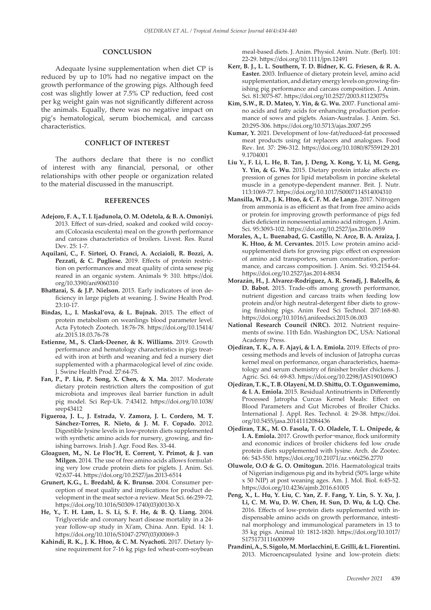### **CONCLUSION**

Adequate lysine supplementation when diet CP is reduced by up to 10% had no negative impact on the growth performance of the growing pigs. Although feed cost was slightly lower at 7.5% CP reduction, feed cost per kg weight gain was not significantly different across the animals. Equally, there was no negative impact on pig's hematological, serum biochemical, and carcass characteristics.

## **CONFLICT OF INTEREST**

The authors declare that there is no conflict of interest with any financial, personal, or other relationships with other people or organization related to the material discussed in the manuscript.

#### **REFERENCES**

- **Adejoro, F. A., T. I. Ijadunola, O. M. Odetola, & B. A. Omoniyi.**  2013. Effect of sun-dried, soaked and cooked wild cocoyam (Colocasia esculenta) meal on the growth performance and carcass characteristics of broilers. Livest. Res. Rural Dev. 25: 1-7.
- **Aquilani, C., F. Sirtori, O. Franci, A. Acciaioli, R. Bozzi, A. Pezzati, & C. Pugliese.** 2019. Effects of protein restriction on performances and meat quality of cinta senese pig reared in an organic system. Animals 9: 310. https://doi. org/10.3390/ani9060310
- **Bhattarai, S. & J.P. Nielson.** 2015. Early indicators of iron deficiency in large piglets at weaning. J. Swine Health Prod. 23:10-17.
- **Bindas, L., I. Maskal'ova, & L. Bujnak.** 2015. The effect of protein metabolism on weanlings blood parameter level. Acta Fytotech Zootech. 18:76-78. https://doi.org/10.15414/ afz.2015.18.03.76-78
- **Estienne, M., S. Clark-Deener, & K. Williams.** 2019. Growth performance and hematology characteristics in pigs treated with iron at birth and weaning and fed a nursery diet supplemented with a pharmacological level of zinc oxide. J. Swine Health Prod. 27:64-75.
- **Fan, P., P. Liu, P. Song, X. Chen, & X. Ma.** 2017. Moderate dietary protein restriction alters the composition of gut microbiota and improves ileal barrier function in adult pig model. Sci Rep-Uk. 7:43412. https://doi.org/10.1038/ srep43412
- **Figueroa, J. L., J. Estrada, V. Zamora, J. L. Cordero, M. T. Sánchez-Torres, R. Nieto, & J. M. F. Copado.** 2012. Digestible lysine levels in low-protein diets supplemented with synthetic amino acids for nursery, growing, and finishing barrows. Irish J. Agr. Food Res. 33-44.
- **Gloaguen, M., N. Le Floc'H, E. Corrent, Y. Primot, & J. van Milgen.** 2014. The use of free amino acids allows formulating very low crude protein diets for piglets. J. Anim. Sci. 92:637-44. https://doi.org/10.2527/jas.2013-6514
- **Grunert, K.G., L. Bredahl, & K. Brunsø.** 2004. Consumer perception of meat quality and implications for product development in the meat sector-a review. Meat Sci. 66:259-72. https://doi.org/10.1016/S0309-1740(03)00130-X
- **He, Y., T. H. Lam, L. S. Li, S. F. He, & B. Q. Liang.** 2004. Triglyceride and coronary heart disease mortality in a 24 year follow-up study in Xi'am, China. Ann. Epid. 14: 1. https://doi.org/10.1016/S1047-2797(03)00069-3
- **Kahindi, R. K., J. K. Htoo, & C. M. Nyachoti.** 2017. Dietary lysine requirement for 7-16 kg pigs fed wheat-corn-soybean

meal-based diets. J. Anim. Physiol. Anim. Nutr. (Berl). 101: 22-29. https://doi.org/10.1111/jpn.12491

- **Kerr, B. J., L. L. Southern, T. D. Bidner, K. G. Friesen, & R. A. Easter.** 2003. Influence of dietary protein level, amino acid supplementation, and dietary energy levels on growing-finishing pig performance and carcass composition. J. Anim. Sci. 81:3075-87. https://doi.org/10.2527/2003.81123075x
- **Kim, S.W., R. D. Mateo, Y. Yin, & G. Wu.** 2007. Functional amino acids and fatty acids for enhancing production performance of sows and piglets. Asian-Australas. J. Anim. Sci. 20:295-306. https://doi.org/10.5713/ajas.2007.295
- **Kumar, Y.** 2021. Development of low-fat/reduced-fat processed meat products using fat replacers and analogues. Food Rev. Int. 37: 296-312. https://doi.org/10.1080/87559129.201 9.1704001
- **Liu Y., F. Li, L. He, B. Tan, J. Deng, X. Kong, Y. Li, M. Geng, Y. Yin, & G. Wu.** 2015. Dietary protein intake affects expression of genes for lipid metabolism in porcine skeletal muscle in a genotype-dependent manner. Brit. J. Nutr. 113:1069-77. https://doi.org/10.1017/S0007114514004310
- **Mansilla, W.D., J. K. Htoo, & C. F. M. de Lange.** 2017. Nitrogen from ammonia is as efficient as that from free amino acids or protein for improving growth performance of pigs fed diets deficient in nonessential amino acid nitrogen. J. Anim. Sci. 95:3093-102. https://doi.org/10.2527/jas.2016.0959
- **Morales, A., L. Buenabad, G. Castillo, N. Arce, B. A. Araiza, J. K. Htoo, & M. Cervantes.** 2015. Low protein amino acidsupplemented diets for growing pigs: effect on expression of amino acid transporters, serum concentration, performance, and carcass composition. J. Anim. Sci. 93:2154-64. https://doi.org/10.2527/jas.2014-8834
- **Morazán, H., J. Alvarez-Rodriguez, A. R. Seradj, J. Balcells, & D. Babot.** 2015. Trade-offs among growth performance, nutrient digestion and carcass traits when feeding low protein and/or high neutral-detergent fiber diets to growing finishing pigs. Anim Feed Sci Technol. 207:168-80. https://doi.org/10.1016/j.anifeedsci.2015.06.003
- **National Research Council (NRC).** 2012. Nutrient requirements of swine. 11th Edn. Washington DC, USA: National Academy Press.
- **Ojediran, T. K., A. F. Ajayi, & I. A. Emiola.** 2019. Effects of processing methods and levels of inclusion of Jatropha curcas kernel meal on performance, organ characteristics, haematology and serum chemistry of finisher broiler chickens. J. Agric. Sci. 64: 69-83. https://doi.org/10.2298/JAS1901069O
- **Ojediran, T. K., T. B. Olayeni, M. D. Shittu, O. T. Ogunwemimo, & I. A. Emiola.** 2015. Residual Antinutrients in Differently Processed Jatropha Curcas Kernel Meals: Effect on Blood Parameters and Gut Microbes of Broiler Chicks. International J. Appl. Res. Technol. 4: 29-38. https://doi. org/10.5455/jasa.20141112084436
- **Ojediran, T.K., M. O. Fasola, T. O. Oladele, T. L. Onipede, & I. A. Emiola.** 2017. Growth perfor¬mance, flock uniformity and economic indices of broiler chickens fed low crude protein diets supplemented with lysine. Arch. de Zootec. 66: 543-550. https://doi.org/10.21071/az.v66i256.2770
- **Oluwole, O.O & G. O. Omitogun.** 2016. Haematological traits of Nigerian indigenous pig and its hybrid (50% large white x 50 NIP) at post weaning ages. Am. J. Mol. Biol. 6:45-52. https://doi.org/10.4236/ajmb.2016.61005
- **Peng, X., L. Hu, Y. Liu, C. Yan, Z. F. Fang, Y. Lin, S. Y. Xu, J. Li, C. M. Wu, D. W. Chen, H. Sun, D. Wu, & L.Q. Che.** 2016. Effects of low-protein diets supplemented with indispensable amino acids on growth performance, intestinal morphology and immunological parameters in 13 to 35 kg pigs. Animal 10: 1812-1820. https://doi.org/10.1017/ S1751731116000999
- **Prandini, A., S. Sigolo, M. Morlacchini, E. Grilli, & L. Fiorentini.**  2013. Microencapsulated lysine and low-protein diets: